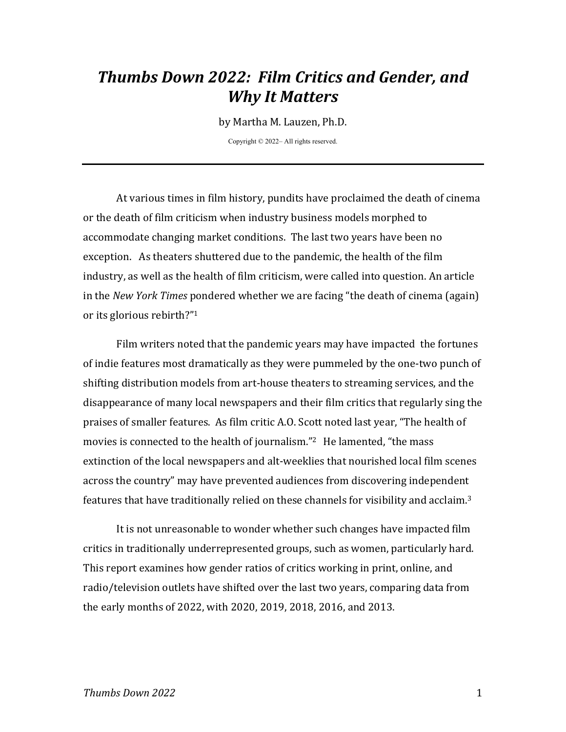# *Thumbs Down 2022: Film Critics and Gender, and Why It Matters*

by Martha M. Lauzen, Ph.D.

Copyright © 2022– All rights reserved.

At various times in film history, pundits have proclaimed the death of cinema or the death of film criticism when industry business models morphed to accommodate changing market conditions. The last two years have been no exception. As theaters shuttered due to the pandemic, the health of the film industry, as well as the health of film criticism, were called into question. An article in the *New York Times* pondered whether we are facing "the death of cinema (again) or its glorious rebirth?"<sup>1</sup>

Film writers noted that the pandemic years may have impacted the fortunes of indie features most dramatically as they were pummeled by the one-two punch of shifting distribution models from art-house theaters to streaming services, and the disappearance of many local newspapers and their film critics that regularly sing the praises of smaller features. As film critic A.O. Scott noted last year, "The health of movies is connected to the health of journalism."<sup>2</sup> He lamented, "the mass extinction of the local newspapers and alt-weeklies that nourished local film scenes across the country" may have prevented audiences from discovering independent features that have traditionally relied on these channels for visibility and acclaim.<sup>3</sup>

It is not unreasonable to wonder whether such changes have impacted film critics in traditionally underrepresented groups, such as women, particularly hard. This report examines how gender ratios of critics working in print, online, and radio/television outlets have shifted over the last two years, comparing data from the early months of 2022, with 2020, 2019, 2018, 2016, and 2013.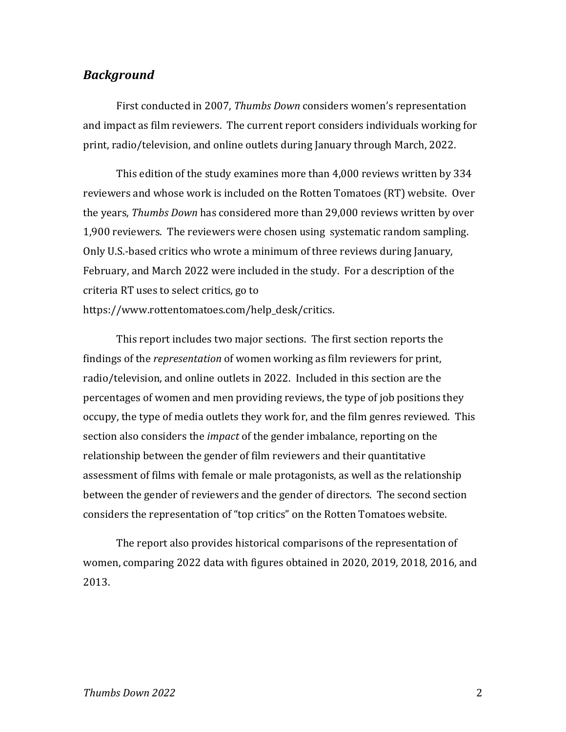### *Background*

First conducted in 2007, *Thumbs Down* considers women's representation and impact as film reviewers. The current report considers individuals working for print, radio/television, and online outlets during January through March, 2022.

This edition of the study examines more than  $4,000$  reviews written by 334 reviewers and whose work is included on the Rotten Tomatoes (RT) website. Over the years, *Thumbs Down* has considered more than 29,000 reviews written by over 1,900 reviewers. The reviewers were chosen using systematic random sampling. Only U.S.-based critics who wrote a minimum of three reviews during January, February, and March 2022 were included in the study. For a description of the criteria RT uses to select critics, go to https://www.rottentomatoes.com/help\_desk/critics.

This report includes two major sections. The first section reports the findings of the *representation* of women working as film reviewers for print, radio/television, and online outlets in 2022. Included in this section are the percentages of women and men providing reviews, the type of job positions they occupy, the type of media outlets they work for, and the film genres reviewed. This section also considers the *impact* of the gender imbalance, reporting on the relationship between the gender of film reviewers and their quantitative assessment of films with female or male protagonists, as well as the relationship between the gender of reviewers and the gender of directors. The second section considers the representation of "top critics" on the Rotten Tomatoes website.

The report also provides historical comparisons of the representation of women, comparing 2022 data with figures obtained in 2020, 2019, 2018, 2016, and 2013.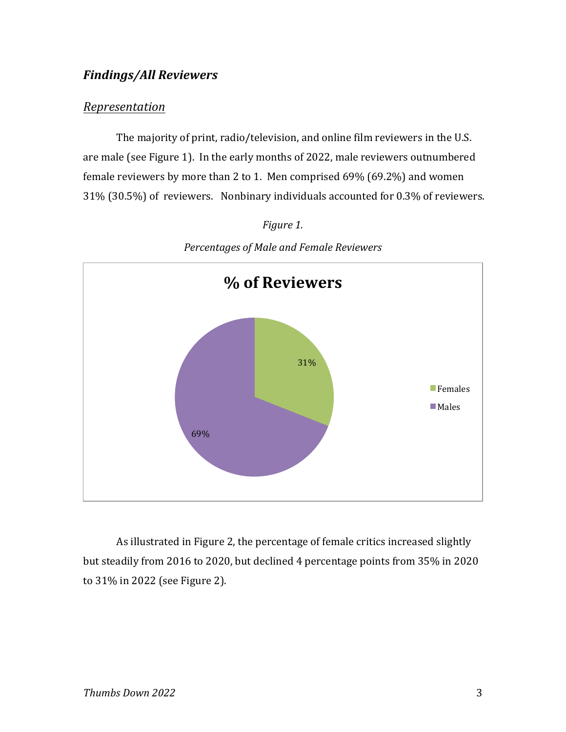# *Findings/All Reviewers*

### *Representation*

The majority of print, radio/television, and online film reviewers in the U.S. are male (see Figure 1). In the early months of 2022, male reviewers outnumbered female reviewers by more than 2 to 1. Men comprised  $69\%$  (69.2%) and women 31% (30.5%) of reviewers. Nonbinary individuals accounted for 0.3% of reviewers.



*Figure 1. Percentages of Male and Female Reviewers*

As illustrated in Figure 2, the percentage of female critics increased slightly but steadily from 2016 to 2020, but declined 4 percentage points from 35% in 2020 to 31% in 2022 (see Figure 2).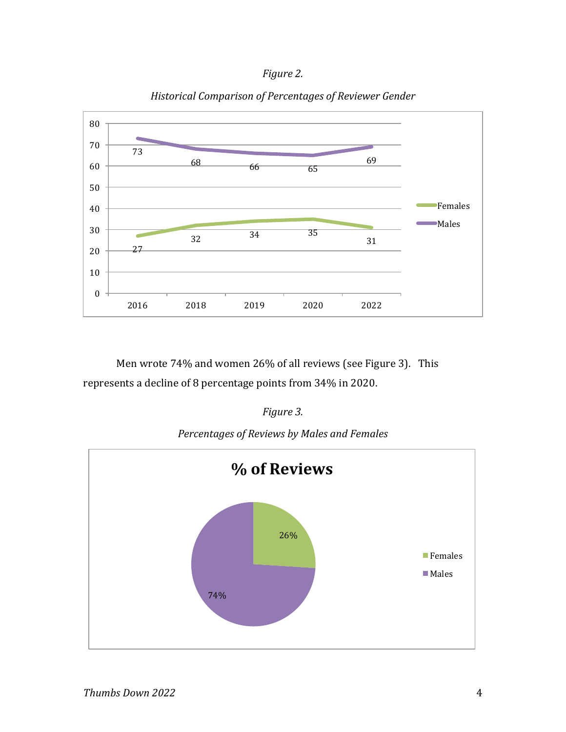



### *Historical Comparison of Percentages of Reviewer Gender*

Men wrote 74% and women 26% of all reviews (see Figure 3). This represents a decline of 8 percentage points from 34% in 2020.

### *Figure 3.*

*Percentages of Reviews by Males and Females*

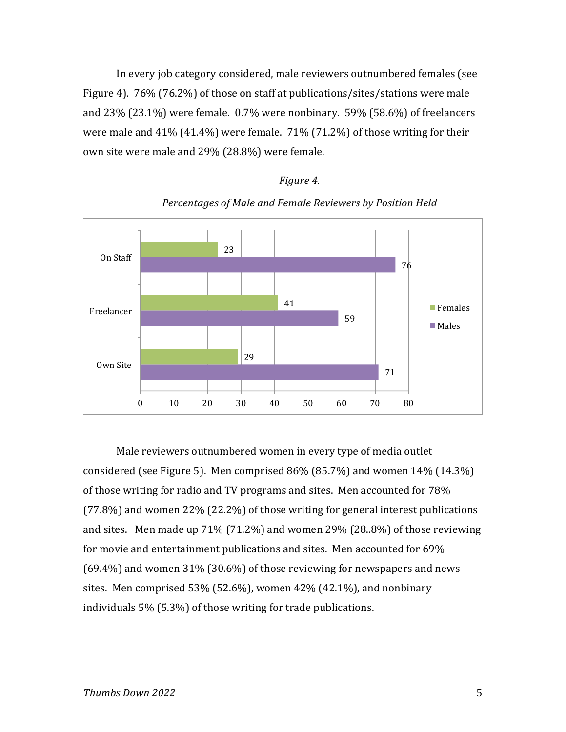In every job category considered, male reviewers outnumbered females (see Figure 4).  $76\%$  (76.2%) of those on staff at publications/sites/stations were male and  $23\%$  (23.1%) were female. 0.7% were nonbinary. 59% (58.6%) of freelancers were male and  $41\%$  (41.4%) were female.  $71\%$  (71.2%) of those writing for their own site were male and 29% (28.8%) were female.





*Figure 4.*

Male reviewers outnumbered women in every type of media outlet considered (see Figure 5). Men comprised  $86\%$  (85.7%) and women  $14\%$  (14.3%) of those writing for radio and TV programs and sites. Men accounted for 78%  $(77.8%)$  and women 22%  $(22.2%)$  of those writing for general interest publications and sites. Men made up  $71\%$  (71.2%) and women 29% (28..8%) of those reviewing for movie and entertainment publications and sites. Men accounted for 69%  $(69.4\%)$  and women 31%  $(30.6\%)$  of those reviewing for newspapers and news sites. Men comprised  $53\%$  (52.6%), women  $42\%$  (42.1%), and nonbinary individuals  $5\%$  (5.3%) of those writing for trade publications.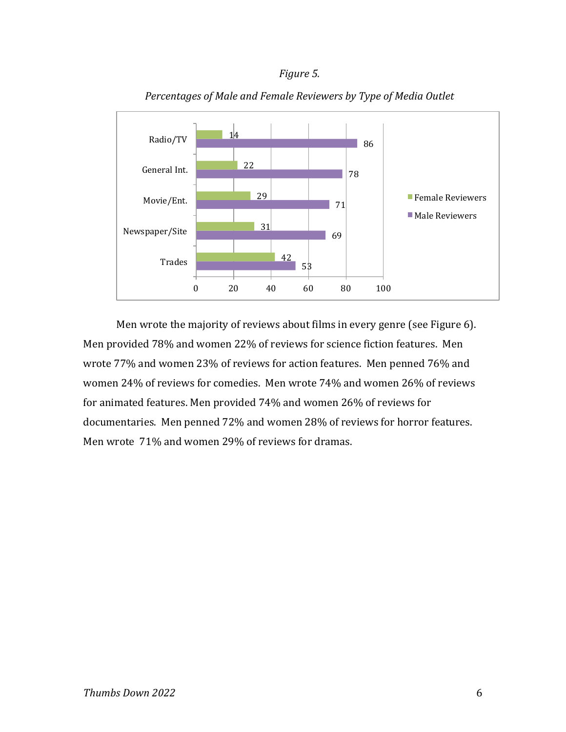### *Figure 5.*



Percentages of Male and Female Reviewers by Type of Media Outlet

Men wrote the majority of reviews about films in every genre (see Figure 6). Men provided 78% and women 22% of reviews for science fiction features. Men wrote 77% and women 23% of reviews for action features. Men penned 76% and women 24% of reviews for comedies. Men wrote 74% and women 26% of reviews for animated features. Men provided 74% and women 26% of reviews for documentaries. Men penned 72% and women 28% of reviews for horror features. Men wrote 71% and women 29% of reviews for dramas.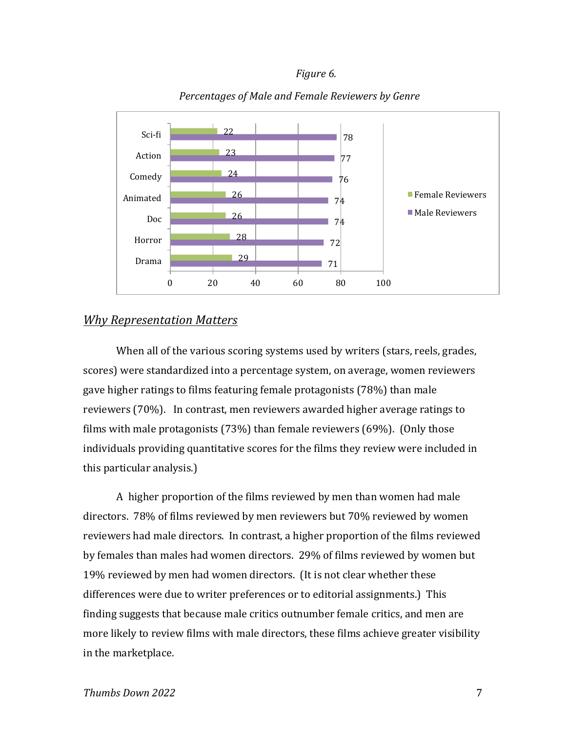#### *Figure 6.*



### Percentages of Male and Female Reviewers by Genre

### *Why Representation Matters*

When all of the various scoring systems used by writers (stars, reels, grades, scores) were standardized into a percentage system, on average, women reviewers gave higher ratings to films featuring female protagonists (78%) than male reviewers (70%). In contrast, men reviewers awarded higher average ratings to films with male protagonists  $(73%)$  than female reviewers  $(69%)$ . (Only those individuals providing quantitative scores for the films they review were included in this particular analysis.)

A higher proportion of the films reviewed by men than women had male directors. 78% of films reviewed by men reviewers but 70% reviewed by women reviewers had male directors. In contrast, a higher proportion of the films reviewed by females than males had women directors. 29% of films reviewed by women but 19% reviewed by men had women directors. (It is not clear whether these differences were due to writer preferences or to editorial assignments.) This finding suggests that because male critics outnumber female critics, and men are more likely to review films with male directors, these films achieve greater visibility in the marketplace.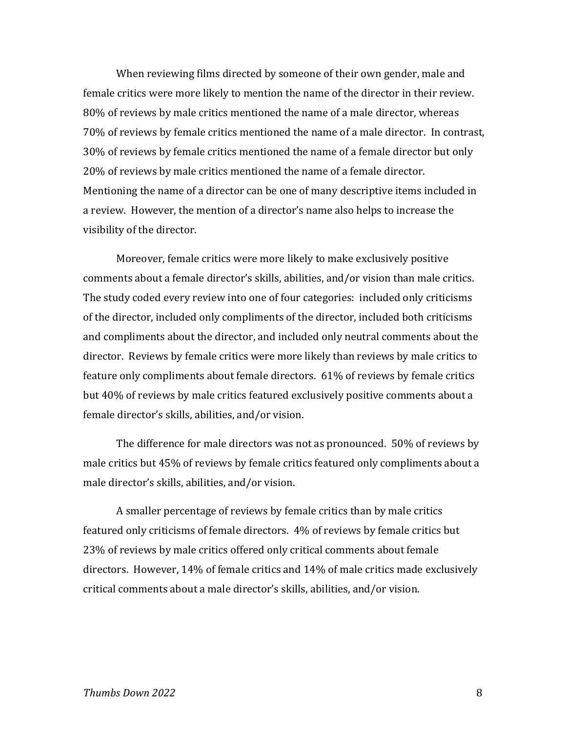When reviewing films directed by someone of their own gender, male and female critics were more likely to mention the name of the director in their review. 80% of reviews by male critics mentioned the name of a male director, whereas 70% of reviews by female critics mentioned the name of a male director. In contrast, 30% of reviews by female critics mentioned the name of a female director but only 20% of reviews by male critics mentioned the name of a female director. Mentioning the name of a director can be one of many descriptive items included in a review. However, the mention of a director's name also helps to increase the visibility of the director.

Moreover, female critics were more likely to make exclusively positive comments about a female director's skills, abilities, and/or vision than male critics. The study coded every review into one of four categories: included only criticisms of the director, included only compliments of the director, included both criticisms and compliments about the director, and included only neutral comments about the director. Reviews by female critics were more likely than reviews by male critics to feature only compliments about female directors. 61% of reviews by female critics but 40% of reviews by male critics featured exclusively positive comments about a female director's skills, abilities, and/or vision.

The difference for male directors was not as pronounced. 50% of reviews by male critics but 45% of reviews by female critics featured only compliments about a male director's skills, abilities, and/or vision.

A smaller percentage of reviews by female critics than by male critics featured only criticisms of female directors. 4% of reviews by female critics but 23% of reviews by male critics offered only critical comments about female directors. However,  $14\%$  of female critics and  $14\%$  of male critics made exclusively critical comments about a male director's skills, abilities, and/or vision.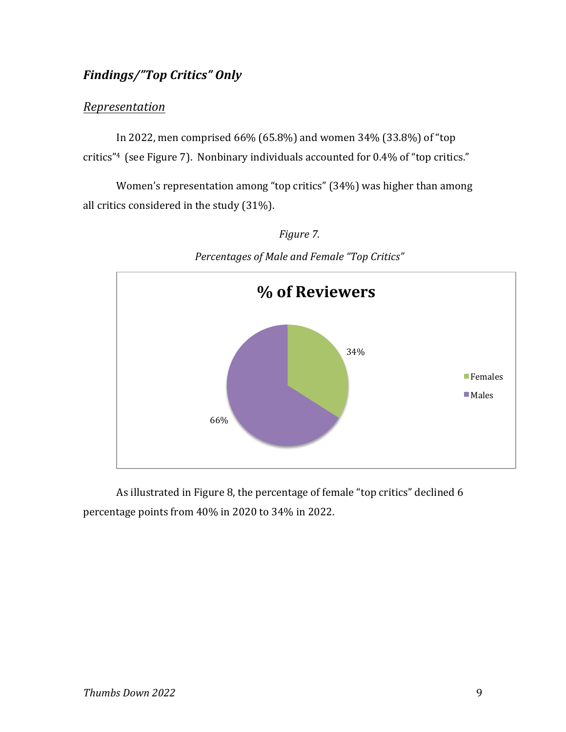# *Findings/"Top Critics" Only*

### *Representation*

In 2022, men comprised  $66\%$  (65.8%) and women 34% (33.8%) of "top critics"<sup>4</sup> (see Figure 7). Nonbinary individuals accounted for  $0.4\%$  of "top critics."

Women's representation among "top critics" (34%) was higher than among all critics considered in the study  $(31\%)$ .



*Percentages of Male and Female "Top Critics"*

*Figure 7.*

As illustrated in Figure 8, the percentage of female "top critics" declined 6 percentage points from 40% in 2020 to 34% in 2022.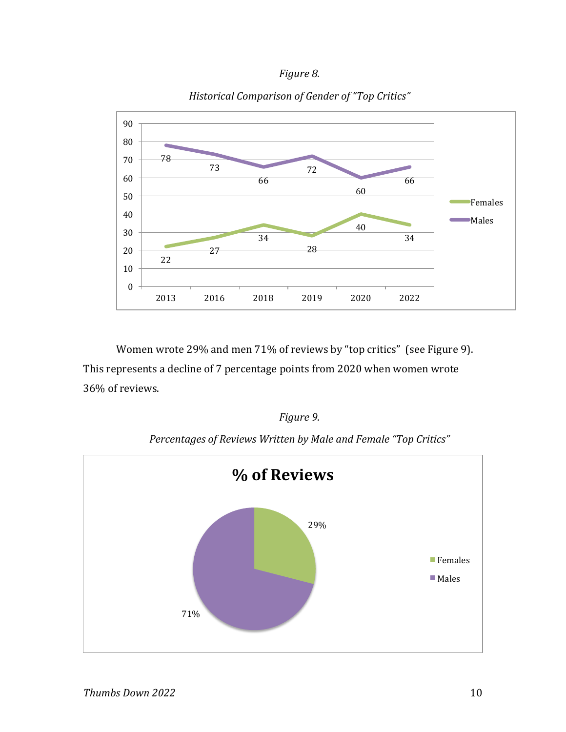



*Historical Comparison of Gender of "Top Critics"*

Women wrote 29% and men 71% of reviews by "top critics" (see Figure 9). This represents a decline of 7 percentage points from 2020 when women wrote 36% of reviews.

*Figure 9.*



*Percentages of Reviews Written by Male and Female "Top Critics"*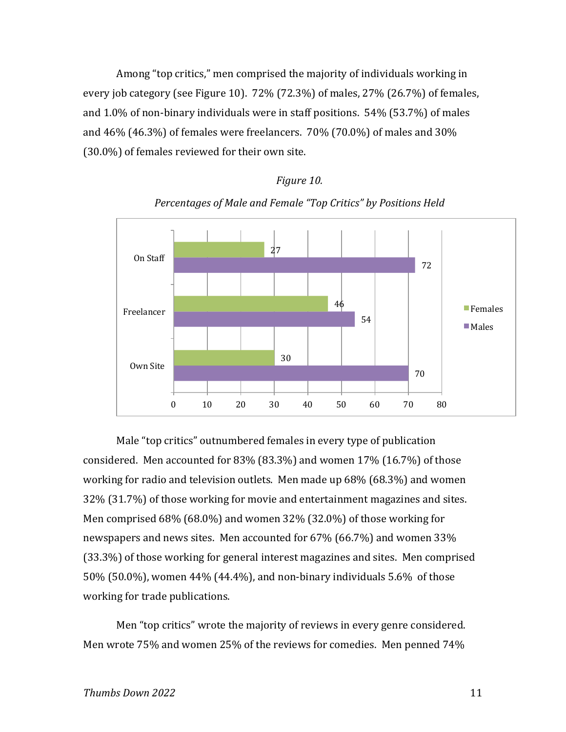Among "top critics," men comprised the majority of individuals working in every job category (see Figure 10).  $72\%$  (72.3%) of males,  $27\%$  (26.7%) of females, and  $1.0\%$  of non-binary individuals were in staff positions.  $54\%$  (53.7%) of males and  $46\%$  (46.3%) of females were freelancers.  $70\%$  (70.0%) of males and  $30\%$  $(30.0\%)$  of females reviewed for their own site.



Percentages of Male and Female "Top Critics" by Positions Held

*Figure 10.*

Male "top critics" outnumbered females in every type of publication considered. Men accounted for  $83\%$  ( $83.3\%$ ) and women  $17\%$  ( $16.7\%$ ) of those working for radio and television outlets. Men made up  $68\%$  (68.3%) and women 32% (31.7%) of those working for movie and entertainment magazines and sites. Men comprised  $68\%$  (68.0%) and women  $32\%$  (32.0%) of those working for newspapers and news sites. Men accounted for  $67\%$  (66.7%) and women 33% (33.3%) of those working for general interest magazines and sites. Men comprised 50% (50.0%), women  $44\%$  (44.4%), and non-binary individuals 5.6% of those working for trade publications.

Men "top critics" wrote the majority of reviews in every genre considered. Men wrote 75% and women 25% of the reviews for comedies. Men penned 74%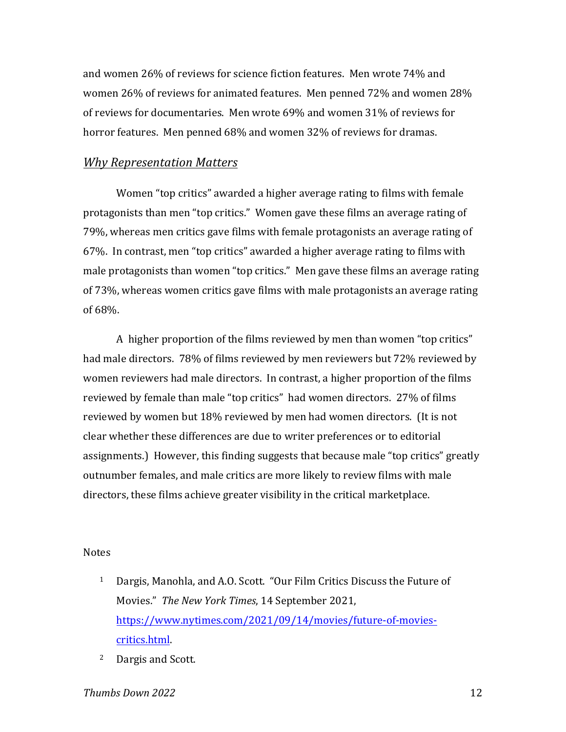and women 26% of reviews for science fiction features. Men wrote 74% and women 26% of reviews for animated features. Men penned 72% and women 28% of reviews for documentaries. Men wrote  $69\%$  and women  $31\%$  of reviews for horror features. Men penned 68% and women 32% of reviews for dramas.

## *Why Representation Matters*

Women "top critics" awarded a higher average rating to films with female protagonists than men "top critics." Women gave these films an average rating of 79%, whereas men critics gave films with female protagonists an average rating of 67%. In contrast, men "top critics" awarded a higher average rating to films with male protagonists than women "top critics." Men gave these films an average rating of 73%, whereas women critics gave films with male protagonists an average rating of 68%.

A higher proportion of the films reviewed by men than women "top critics" had male directors. 78% of films reviewed by men reviewers but 72% reviewed by women reviewers had male directors. In contrast, a higher proportion of the films reviewed by female than male "top critics" had women directors. 27% of films reviewed by women but 18% reviewed by men had women directors. (It is not clear whether these differences are due to writer preferences or to editorial assignments.) However, this finding suggests that because male "top critics" greatly outnumber females, and male critics are more likely to review films with male directors, these films achieve greater visibility in the critical marketplace.

#### Notes

- <sup>1</sup> Dargis, Manohla, and A.O. Scott. "Our Film Critics Discuss the Future of Movies." The New York Times, 14 September 2021, https://www.nytimes.com/2021/09/14/movies/future-of-moviescritics.html.
- <sup>2</sup> Dargis and Scott.